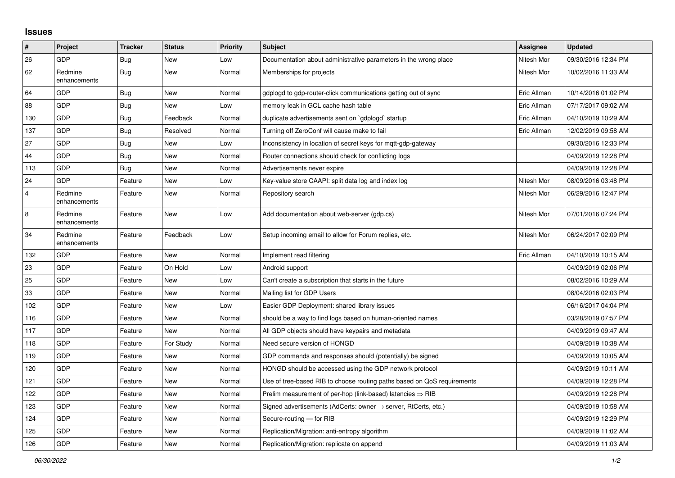## **Issues**

| #              | Project                 | <b>Tracker</b> | <b>Status</b> | <b>Priority</b> | <b>Subject</b>                                                             | Assignee    | <b>Updated</b>      |
|----------------|-------------------------|----------------|---------------|-----------------|----------------------------------------------------------------------------|-------------|---------------------|
| 26             | GDP                     | Bug            | <b>New</b>    | Low             | Documentation about administrative parameters in the wrong place           | Nitesh Mor  | 09/30/2016 12:34 PM |
| 62             | Redmine<br>enhancements | <b>Bug</b>     | <b>New</b>    | Normal          | Memberships for projects                                                   | Nitesh Mor  | 10/02/2016 11:33 AM |
| 64             | GDP                     | Bug            | <b>New</b>    | Normal          | gdplogd to gdp-router-click communications getting out of sync             | Eric Allman | 10/14/2016 01:02 PM |
| 88             | GDP                     | Bug            | <b>New</b>    | Low             | memory leak in GCL cache hash table                                        | Eric Allman | 07/17/2017 09:02 AM |
| 130            | GDP                     | <b>Bug</b>     | Feedback      | Normal          | duplicate advertisements sent on `gdplogd` startup                         | Eric Allman | 04/10/2019 10:29 AM |
| 137            | GDP                     | <b>Bug</b>     | Resolved      | Normal          | Turning off ZeroConf will cause make to fail                               | Eric Allman | 12/02/2019 09:58 AM |
| 27             | GDP                     | Bug            | <b>New</b>    | Low             | Inconsistency in location of secret keys for mqtt-gdp-gateway              |             | 09/30/2016 12:33 PM |
| 44             | GDP                     | <b>Bug</b>     | <b>New</b>    | Normal          | Router connections should check for conflicting logs                       |             | 04/09/2019 12:28 PM |
| 113            | GDP                     | <b>Bug</b>     | <b>New</b>    | Normal          | Advertisements never expire                                                |             | 04/09/2019 12:28 PM |
| 24             | GDP                     | Feature        | <b>New</b>    | Low             | Key-value store CAAPI: split data log and index log                        | Nitesh Mor  | 08/09/2016 03:48 PM |
| $\overline{4}$ | Redmine<br>enhancements | Feature        | <b>New</b>    | Normal          | Repository search                                                          | Nitesh Mor  | 06/29/2016 12:47 PM |
| 8              | Redmine<br>enhancements | Feature        | <b>New</b>    | Low             | Add documentation about web-server (gdp.cs)                                | Nitesh Mor  | 07/01/2016 07:24 PM |
| 34             | Redmine<br>enhancements | Feature        | Feedback      | Low             | Setup incoming email to allow for Forum replies, etc.                      | Nitesh Mor  | 06/24/2017 02:09 PM |
| 132            | GDP                     | Feature        | <b>New</b>    | Normal          | Implement read filtering                                                   | Eric Allman | 04/10/2019 10:15 AM |
| 23             | GDP                     | Feature        | On Hold       | Low             | Android support                                                            |             | 04/09/2019 02:06 PM |
| 25             | GDP                     | Feature        | <b>New</b>    | Low             | Can't create a subscription that starts in the future                      |             | 08/02/2016 10:29 AM |
| 33             | GDP                     | Feature        | New           | Normal          | Mailing list for GDP Users                                                 |             | 08/04/2016 02:03 PM |
| 102            | GDP                     | Feature        | <b>New</b>    | Low             | Easier GDP Deployment: shared library issues                               |             | 06/16/2017 04:04 PM |
| 116            | GDP                     | Feature        | <b>New</b>    | Normal          | should be a way to find logs based on human-oriented names                 |             | 03/28/2019 07:57 PM |
| 117            | GDP                     | Feature        | <b>New</b>    | Normal          | All GDP objects should have keypairs and metadata                          |             | 04/09/2019 09:47 AM |
| 118            | GDP                     | Feature        | For Study     | Normal          | Need secure version of HONGD                                               |             | 04/09/2019 10:38 AM |
| 119            | GDP                     | Feature        | <b>New</b>    | Normal          | GDP commands and responses should (potentially) be signed                  |             | 04/09/2019 10:05 AM |
| 120            | GDP                     | Feature        | New           | Normal          | HONGD should be accessed using the GDP network protocol                    |             | 04/09/2019 10:11 AM |
| 121            | GDP                     | Feature        | <b>New</b>    | Normal          | Use of tree-based RIB to choose routing paths based on QoS requirements    |             | 04/09/2019 12:28 PM |
| 122            | GDP                     | Feature        | New           | Normal          | Prelim measurement of per-hop (link-based) latencies $\Rightarrow$ RIB     |             | 04/09/2019 12:28 PM |
| 123            | GDP                     | Feature        | New           | Normal          | Signed advertisements (AdCerts: owner $\rightarrow$ server, RtCerts, etc.) |             | 04/09/2019 10:58 AM |
| 124            | GDP                     | Feature        | New           | Normal          | Secure-routing - for RIB                                                   |             | 04/09/2019 12:29 PM |
| 125            | GDP                     | Feature        | <b>New</b>    | Normal          | Replication/Migration: anti-entropy algorithm                              |             | 04/09/2019 11:02 AM |
| 126            | GDP                     | Feature        | <b>New</b>    | Normal          | Replication/Migration: replicate on append                                 |             | 04/09/2019 11:03 AM |